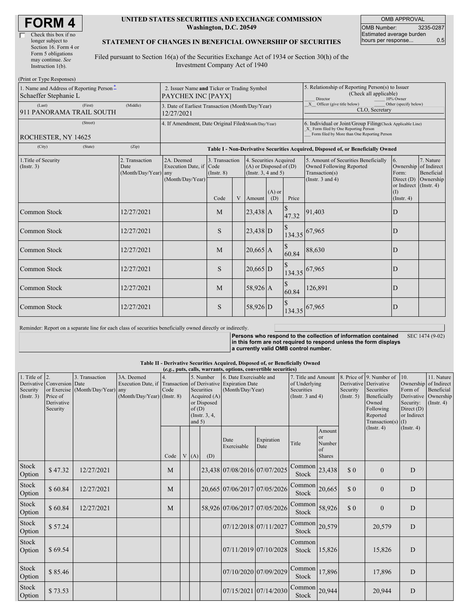| <b>FORM4</b> |  |
|--------------|--|
|--------------|--|

| Check this box if no  |
|-----------------------|
| longer subject to     |
| Section 16. Form 4 or |
| Form 5 obligations    |
| may continue. See     |
| Instruction 1(b).     |
|                       |

(Print or Type Responses)

#### **UNITED STATES SECURITIES AND EXCHANGE COMMISSION Washington, D.C. 20549**

OMB APPROVAL OMB Number: 3235-0287 Estimated average burden hours per response... 6.5

### **STATEMENT OF CHANGES IN BENEFICIAL OWNERSHIP OF SECURITIES**

Filed pursuant to Section 16(a) of the Securities Exchange Act of 1934 or Section 30(h) of the Investment Company Act of 1940

| THIR OF TYPE RESPONSES<br>1. Name and Address of Reporting Person <sup>*</sup><br>Schaeffer Stephanie L | 2. Issuer Name and Ticker or Trading Symbol<br>PAYCHEX INC [PAYX] |                                                      |                                                                |                                   |   |                                                                                  | 5. Relationship of Reporting Person(s) to Issuer<br>(Check all applicable)<br>Director<br>10% Owner |                                                                                                                                                    |                                                                                                                    |                                                      |                                      |  |
|---------------------------------------------------------------------------------------------------------|-------------------------------------------------------------------|------------------------------------------------------|----------------------------------------------------------------|-----------------------------------|---|----------------------------------------------------------------------------------|-----------------------------------------------------------------------------------------------------|----------------------------------------------------------------------------------------------------------------------------------------------------|--------------------------------------------------------------------------------------------------------------------|------------------------------------------------------|--------------------------------------|--|
| (Last)<br>911 PANORAMA TRAIL SOUTH                                                                      | (First)                                                           | (Middle)                                             | 3. Date of Earliest Transaction (Month/Day/Year)<br>12/27/2021 |                                   |   |                                                                                  |                                                                                                     |                                                                                                                                                    | X Officer (give title below)<br>Other (specify below)<br>CLO, Secretary                                            |                                                      |                                      |  |
| ROCHESTER, NY 14625                                                                                     |                                                                   | 4. If Amendment, Date Original Filed(Month/Day/Year) |                                                                |                                   |   |                                                                                  |                                                                                                     | 6. Individual or Joint/Group Filing(Check Applicable Line)<br>X Form filed by One Reporting Person<br>Form filed by More than One Reporting Person |                                                                                                                    |                                                      |                                      |  |
| (City)                                                                                                  | (State)                                                           | (Zip)                                                |                                                                |                                   |   |                                                                                  |                                                                                                     |                                                                                                                                                    | Table I - Non-Derivative Securities Acquired, Disposed of, or Beneficially Owned                                   |                                                      |                                      |  |
| 1. Title of Security<br>(Insert. 3)                                                                     |                                                                   | 2. Transaction<br>Date<br>(Month/Day/Year) any       | 2A. Deemed<br>Execution Date, if Code                          | 3. Transaction<br>$($ Instr. $8)$ |   | 4. Securities Acquired<br>$(A)$ or Disposed of $(D)$<br>(Instr. $3, 4$ and $5$ ) |                                                                                                     |                                                                                                                                                    | 5. Amount of Securities Beneficially<br><b>Owned Following Reported</b><br>Transaction(s)<br>(Instr. $3$ and $4$ ) | 6.<br>Ownership of Indirect<br>Form:<br>Direct $(D)$ | 7. Nature<br>Beneficial<br>Ownership |  |
|                                                                                                         |                                                                   |                                                      | (Month/Day/Year)                                               | Code                              | V | Amount                                                                           | $(A)$ or<br>(D)                                                                                     | Price                                                                                                                                              |                                                                                                                    | or Indirect (Instr. 4)<br>(Insert, 4)                |                                      |  |
| Common Stock                                                                                            |                                                                   | 12/27/2021                                           |                                                                | M                                 |   | $23,438$ A                                                                       |                                                                                                     | 47.32                                                                                                                                              | 91,403                                                                                                             | D                                                    |                                      |  |
| Common Stock                                                                                            |                                                                   | 12/27/2021                                           |                                                                | S                                 |   | $23,438$ D                                                                       |                                                                                                     | 134.35                                                                                                                                             | 67,965                                                                                                             | D                                                    |                                      |  |
| <b>Common Stock</b>                                                                                     |                                                                   | 12/27/2021                                           |                                                                | M                                 |   | $20,665$ A                                                                       |                                                                                                     | 60.84                                                                                                                                              | 88,630                                                                                                             | D                                                    |                                      |  |
| <b>Common Stock</b>                                                                                     |                                                                   | 12/27/2021                                           |                                                                | S                                 |   | $20,665$ D                                                                       |                                                                                                     |                                                                                                                                                    | 134.35 67,965                                                                                                      | D                                                    |                                      |  |
| Common Stock                                                                                            |                                                                   | 12/27/2021                                           |                                                                | M                                 |   | $58,926$ A                                                                       |                                                                                                     | 60.84                                                                                                                                              | 126,891                                                                                                            | D                                                    |                                      |  |
| Common Stock                                                                                            |                                                                   | 12/27/2021                                           |                                                                | S                                 |   | 58,926 D                                                                         |                                                                                                     | 134.35                                                                                                                                             | 67,965                                                                                                             | D                                                    |                                      |  |

Reminder: Report on a separate line for each class of securities beneficially owned directly or indirectly.

**Persons who respond to the collection of information contained in this form are not required to respond unless the form displays a currently valid OMB control number.** SEC 1474 (9-02)

#### **Table II - Derivative Securities Acquired, Disposed of, or Beneficially Owned**

**(***e.g.***, puts, calls, warrants, options, convertible securities)**

| 1. Title of $ 2$ .<br>Security<br>(Insert. 3) | Derivative Conversion Date<br>Price of<br>Derivative<br>Security | 3. Transaction<br>or Exercise (Month/Day/Year) | 3A. Deemed<br>Execution Date, if Transaction<br>any<br>$(Month/Day/Year)$ (Instr. 8) | Code | of(D)<br>and $5)$ | 5. Number<br>Securities<br>Acquired $(A)$<br>or Disposed<br>(Instr. 3, 4, | 6. Date Exercisable and<br>of Derivative Expiration Date<br>(Month/Day/Year) |                              | 7. Title and Amount<br>of Underlying<br>Securities<br>(Instr. $3$ and $4$ ) |                                                      | Derivative Derivative<br>Security<br>(Insert. 5) | 8. Price of 9. Number of<br>Securities<br>Beneficially<br>Owned<br>Following<br>Reported<br>Transaction(s) $(I)$ | 10.<br>Ownership of Indirect<br>Form of<br>Security:<br>Direct $(D)$<br>or Indirect | 11. Nature<br>Beneficial<br>Derivative Ownership<br>(Insert. 4) |
|-----------------------------------------------|------------------------------------------------------------------|------------------------------------------------|--------------------------------------------------------------------------------------|------|-------------------|---------------------------------------------------------------------------|------------------------------------------------------------------------------|------------------------------|-----------------------------------------------------------------------------|------------------------------------------------------|--------------------------------------------------|------------------------------------------------------------------------------------------------------------------|-------------------------------------------------------------------------------------|-----------------------------------------------------------------|
|                                               |                                                                  |                                                |                                                                                      | Code | V(A)              | (D)                                                                       | Date<br>Exercisable                                                          | Expiration<br>Date           | Title                                                                       | Amount<br><b>or</b><br>Number<br>of<br><b>Shares</b> |                                                  | $($ Instr. 4 $)$                                                                                                 | (Insert. 4)                                                                         |                                                                 |
| Stock<br>Option                               | \$47.32                                                          | 12/27/2021                                     |                                                                                      | M    |                   |                                                                           |                                                                              | 23,438 07/08/2016 07/07/2025 | Common<br>Stock                                                             | 23,438                                               | \$0                                              | $\mathbf{0}$                                                                                                     | D                                                                                   |                                                                 |
| Stock<br>Option                               | \$60.84                                                          | 12/27/2021                                     |                                                                                      | M    |                   |                                                                           |                                                                              | 20,665 07/06/2017 07/05/2026 | Common<br>Stock                                                             | 20,665                                               | \$0                                              | $\mathbf{0}$                                                                                                     | D                                                                                   |                                                                 |
| Stock<br>Option                               | \$60.84                                                          | 12/27/2021                                     |                                                                                      | M    |                   |                                                                           |                                                                              | 58,926 07/06/2017 07/05/2026 | Common<br>Stock                                                             | 58,926                                               | \$0                                              | $\mathbf{0}$                                                                                                     | D                                                                                   |                                                                 |
| Stock<br>Option                               | \$57.24                                                          |                                                |                                                                                      |      |                   |                                                                           |                                                                              | 07/12/2018 07/11/2027        | Common<br>Stock                                                             | 20,579                                               |                                                  | 20,579                                                                                                           | D                                                                                   |                                                                 |
| Stock<br>Option                               | \$69.54                                                          |                                                |                                                                                      |      |                   |                                                                           |                                                                              | 07/11/2019 07/10/2028        | Common<br>Stock                                                             | 15,826                                               |                                                  | 15,826                                                                                                           | D                                                                                   |                                                                 |
| Stock<br>Option                               | \$85.46                                                          |                                                |                                                                                      |      |                   |                                                                           |                                                                              | 07/10/2020 07/09/2029        | Common<br>Stock                                                             | 17,896                                               |                                                  | 17,896                                                                                                           | D                                                                                   |                                                                 |
| Stock<br>Option                               | \$73.53                                                          |                                                |                                                                                      |      |                   |                                                                           |                                                                              | 07/15/2021 07/14/2030        | Common<br>Stock                                                             | 20,944                                               |                                                  | 20,944                                                                                                           | D                                                                                   |                                                                 |